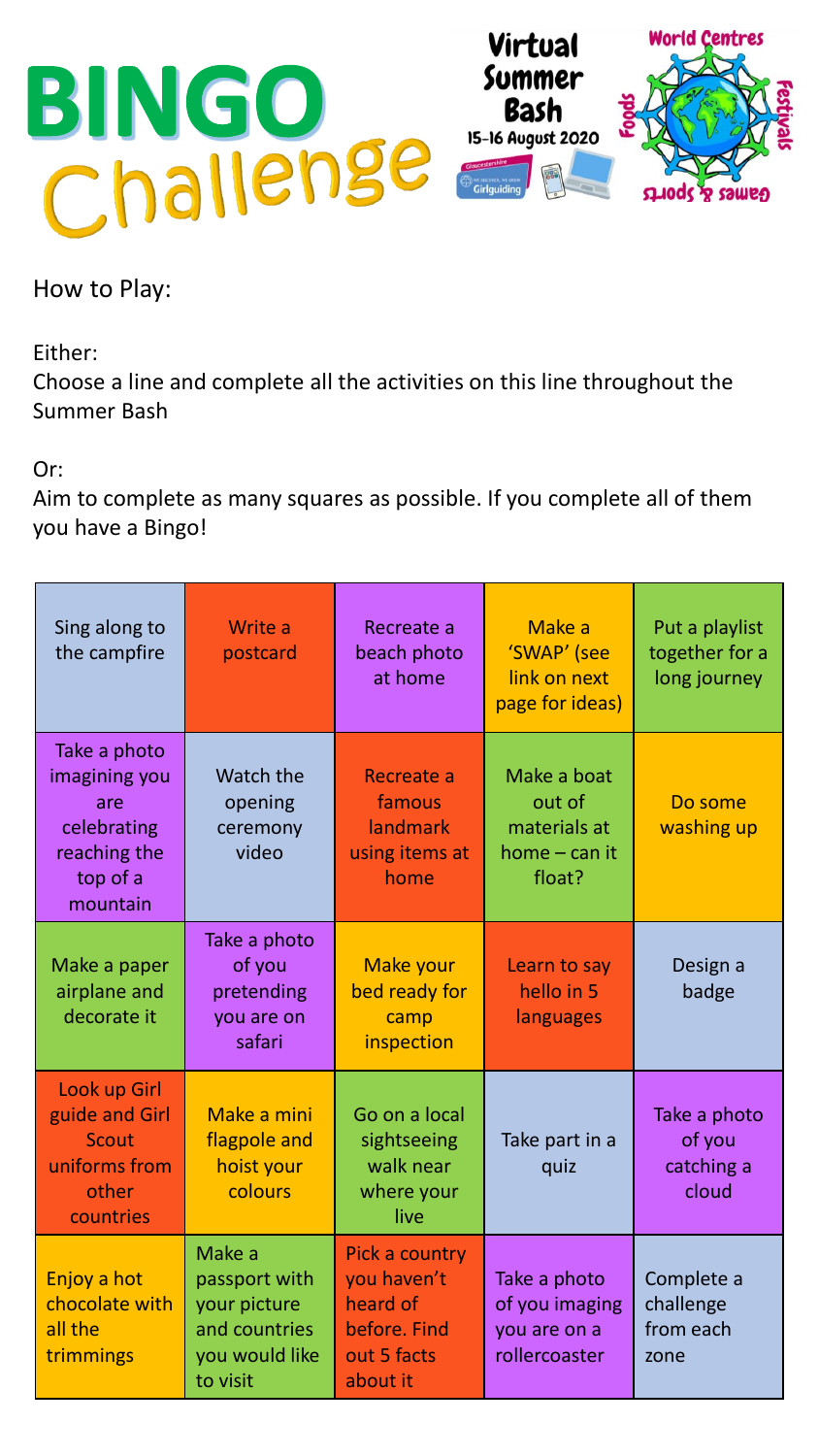

How to Play:

Either:

Choose a line and complete all the activities on this line throughout the Summer Bash

Or:

Aim to complete as many squares as possible. If you complete all of them you have a Bingo!

| Sing along to<br>the campfire                                                               | Write a<br>postcard                                                                    | Recreate a<br>beach photo<br>at home                                                 | Make a<br>'SWAP' (see<br>link on next<br>page for ideas)           | Put a playlist<br>together for a<br>long journey |
|---------------------------------------------------------------------------------------------|----------------------------------------------------------------------------------------|--------------------------------------------------------------------------------------|--------------------------------------------------------------------|--------------------------------------------------|
| Take a photo<br>imagining you<br>are<br>celebrating<br>reaching the<br>top of a<br>mountain | Watch the<br>opening<br>ceremony<br>video                                              | Recreate a<br>famous<br>landmark<br>using items at<br>home                           | Make a boat<br>out of<br>materials at<br>$home - can it$<br>float? | Do some<br>washing up                            |
| Make a paper<br>airplane and<br>decorate it                                                 | Take a photo<br>of you<br>pretending<br>you are on<br>safari                           | Make your<br>bed ready for<br>camp<br>inspection                                     | Learn to say<br>hello in 5<br>languages                            | Design a<br>badge                                |
| Look up Girl<br>guide and Girl<br><b>Scout</b><br>uniforms from<br>other<br>countries       | Make a mini<br>flagpole and<br>hoist your<br>colours                                   | Go on a local<br>sightseeing<br>walk near<br>where your<br>live                      | Take part in a<br>quiz                                             | Take a photo<br>of you<br>catching a<br>cloud    |
| Enjoy a hot<br>chocolate with<br>all the<br>trimmings                                       | Make a<br>passport with<br>your picture<br>and countries<br>you would like<br>to visit | Pick a country<br>you haven't<br>heard of<br>before. Find<br>out 5 facts<br>about it | Take a photo<br>of you imaging<br>you are on a<br>rollercoaster    | Complete a<br>challenge<br>from each<br>zone     |